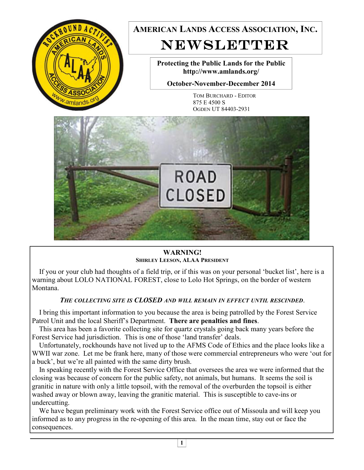

**WARNING! SHIRLEY LEESON, ALAA PRESIDENT**

 If you or your club had thoughts of a field trip, or if this was on your personal 'bucket list', here is a warning about LOLO NATIONAL FOREST, close to Lolo Hot Springs, on the border of western Montana.

#### *THE COLLECTING SITE IS CLOSED AND WILL REMAIN IN EFFECT UNTIL RESCINDED*.

 I bring this important information to you because the area is being patrolled by the Forest Service Patrol Unit and the local Sheriff's Department. **There are penalties and fines**.

 This area has been a favorite collecting site for quartz crystals going back many years before the Forest Service had jurisdiction. This is one of those 'land transfer' deals.

 Unfortunately, rockhounds have not lived up to the AFMS Code of Ethics and the place looks like a WWII war zone. Let me be frank here, many of those were commercial entrepreneurs who were 'out for a buck', but we're all painted with the same dirty brush.

 In speaking recently with the Forest Service Office that oversees the area we were informed that the closing was because of concern for the public safety, not animals, but humans. It seems the soil is granitic in nature with only a little topsoil, with the removal of the overburden the topsoil is either washed away or blown away, leaving the granitic material. This is susceptible to cave-ins or undercutting.

 We have begun preliminary work with the Forest Service office out of Missoula and will keep you informed as to any progress in the re-opening of this area. In the mean time, stay out or face the consequences.

**1**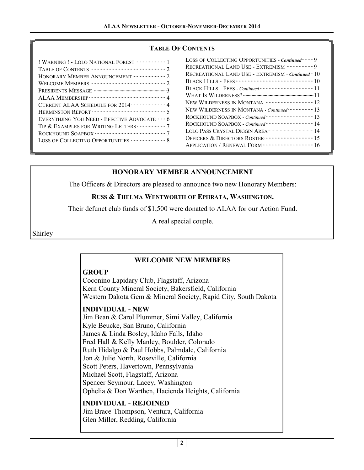# **TABLE OF CONTENTS**

| ! WARNING ! - LOLO NATIONAL FOREST ···················· 1 |
|-----------------------------------------------------------|
|                                                           |
| HONORARY MEMBER ANNOUNCEMENT ······················ 2     |
|                                                           |
|                                                           |
|                                                           |
|                                                           |
|                                                           |
| EVERYTHJING YOU NEED - EFECTIVE ADVOCATE ······ 6         |
| TIP & EXAMPLES FOR WRITING LETTERS  7                     |
|                                                           |
| LOSS OF COLLECTING OPPORTUNITIES  8                       |
|                                                           |

| LOSS OF COLLECTING OPPORTUNITIES - Continued…….9           |  |
|------------------------------------------------------------|--|
| RECREATIIONAL LAND USE - EXTREMISM 9                       |  |
| RECREATIIONAL LAND USE - EXTREMISM - <i>Continued</i> · 10 |  |
|                                                            |  |
|                                                            |  |
|                                                            |  |
|                                                            |  |
| NEW WILDERNESS IN MONTANA - Continued  13                  |  |
|                                                            |  |
|                                                            |  |
|                                                            |  |
|                                                            |  |
|                                                            |  |
|                                                            |  |

# **HONORARY MEMBER ANNOUNCEMENT**

The Officers & Directors are pleased to announce two new Honorary Members:

## **RUSS & THELMA WENTWORTH OF EPHRATA, WASHINGTON.**

Their defunct club funds of \$1,500 were donated to ALAA for our Action Fund.

A real special couple.

Shirley

## **WELCOME NEW MEMBERS**

## **GROUP**

Coconino Lapidary Club, Flagstaff, Arizona Kern County Mineral Society, Bakersfield, California Western Dakota Gem & Mineral Society, Rapid City, South Dakota

## **INDIVIDUAL - NEW**

Jim Bean & Carol Plummer, Simi Valley, California Kyle Beucke, San Bruno, California James & Linda Bosley, Idaho Falls, Idaho Fred Hall & Kelly Manley, Boulder, Colorado Ruth Hidalgo & Paul Hobbs, Palmdale, California Jon & Julie North, Roseville, California Scott Peters, Havertown, Pennsylvania Michael Scott, Flagstaff, Arizona Spencer Seymour, Lacey, Washington Ophelia & Don Warthen, Hacienda Heights, California

**INDIVIDUAL - REJOINED**  Jim Brace-Thompson, Ventura, California Glen Miller, Redding, California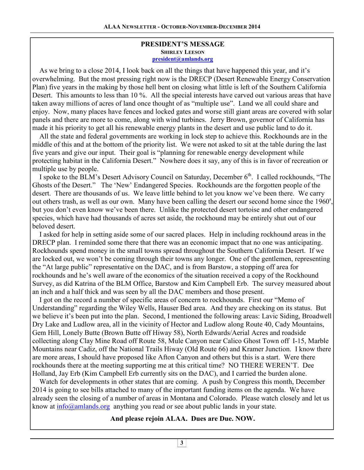#### **PRESIDENT'S MESSAGE SHIRLEY LEESON president@amlands.org**

 As we bring to a close 2014, I look back on all the things that have happened this year, and it's overwhelming. But the most pressing right now is the DRECP (Desert Renewable Energy Conservation Plan) five years in the making by those hell bent on closing what little is left of the Southern California Desert. This amounts to less than 10 %. All the special interests have carved out various areas that have taken away millions of acres of land once thought of as "multiple use". Land we all could share and enjoy. Now, many places have fences and locked gates and worse still giant areas are covered with solar panels and there are more to come, along with wind turbines. Jerry Brown, governor of California has made it his priority to get all his renewable energy plants in the desert and use public land to do it.

 All the state and federal governments are working in lock step to achieve this. Rockhounds are in the middle of this and at the bottom of the priority list. We were not asked to sit at the table during the last five years and give our input. Their goal is "planning for renewable energy development while protecting habitat in the California Desert." Nowhere does it say, any of this is in favor of recreation or multiple use by people.

I spoke to the BLM's Desert Advisory Council on Saturday, December  $6<sup>th</sup>$ . I called rockhounds, "The Ghosts of the Desert." The 'New' Endangered Species. Rockhounds are the forgotten people of the desert. There are thousands of us. We leave little behind to let you know we've been there. We carry out others trash, as well as our own. Many have been calling the desert our second home since the  $1960^\circ$ , but you don't even know we've been there. Unlike the protected desert tortoise and other endangered species, which have had thousands of acres set aside, the rockhound may be entirely shut out of our beloved desert.

 I asked for help in setting aside some of our sacred places. Help in including rockhound areas in the DRECP plan. I reminded some there that there was an economic impact that no one was anticipating. Rockhounds spend money in the small towns spread throughout the Southern California Desert. If we are locked out, we won't be coming through their towns any longer. One of the gentlemen, representing the "At large public" representative on the DAC, and is from Barstow, a stopping off area for rockhounds and he's well aware of the economics of the situation received a copy of the Rockhound Survey, as did Katrina of the BLM Office, Barstow and Kim Campbell Erb. The survey measured about an inch and a half thick and was seen by all the DAC members and those present.

 I got on the record a number of specific areas of concern to rockhounds. First our "Memo of Understanding" regarding the Wiley Wells, Hauser Bed area. And they are checking on its status. But we believe it's been put into the plan. Second, I mentioned the following areas: Lavic Siding, Broadwell Dry Lake and Ludlow area, all in the vicinity of Hector and Ludlow along Route 40, Cady Mountains, Gem Hill, Lonely Butte (Brown Butte off Hiway 58), North Edwards/Aerial Acres and roadside collecting along Clay Mine Road off Route 58, Mule Canyon near Calico Ghost Town off I-15, Marble Mountains near Cadiz, off the National Trails Hiway (Old Route 66) and Kramer Junction. I know there are more areas, I should have proposed like Afton Canyon and others but this is a start. Were there rockhounds there at the meeting supporting me at this critical time? NO THERE WEREN'T. Dee Holland, Jay Erb (Kim Campbell Erb currently sits on the DAC), and I carried the burden alone.

 Watch for developments in other states that are coming. A push by Congress this month, December 2014 is going to see bills attached to many of the important funding items on the agenda. We have already seen the closing of a number of areas in Montana and Colorado. Please watch closely and let us know at  $info@amlands.org$  anything you read or see about public lands in your state.

## **And please rejoin ALAA. Dues are Due. NOW.**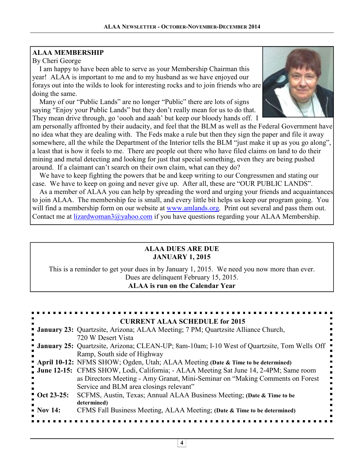# **ALAA MEMBERSHIP**

By Cheri George

 I am happy to have been able to serve as your Membership Chairman this year! ALAA is important to me and to my husband as we have enjoyed our forays out into the wilds to look for interesting rocks and to join friends who are doing the same.

 Many of our "Public Lands" are no longer "Public" there are lots of signs saying "Enjoy your Public Lands" but they don't really mean for us to do that. They mean drive through, go 'oooh and aaah' but keep our bloody hands off. I



am personally affronted by their audacity, and feel that the BLM as well as the Federal Government have no idea what they are dealing with. The Feds make a rule but then they sign the paper and file it away somewhere, all the while the Department of the Interior tells the BLM "just make it up as you go along", a least that is how it feels to me. There are people out there who have filed claims on land to do their mining and metal detecting and looking for just that special something, even they are being pushed around. If a claimant can't search on their own claim, what can they do?

 We have to keep fighting the powers that be and keep writing to our Congressmen and stating our case. We have to keep on going and never give up. After all, these are "OUR PUBLIC LANDS".

 As a member of ALAA you can help by spreading the word and urging your friends and acquaintances to join ALAA. The membership fee is small, and every little bit helps us keep our program going. You will find a membership form on our website at www.amlands.org. Print out several and pass them out. Contact me at lizardwoman3@yahoo.com if you have questions regarding your ALAA Membership.

## **ALAA DUES ARE DUE JANUARY 1, 2015**

This is a reminder to get your dues in by January 1, 2015. We need you now more than ever. Dues are delinquent February 15, 2015. **ALAA is run on the Calendar Year** 

|                        | <b>CURRENT ALAA SCHEDULE for 2015</b>                                                              |
|------------------------|----------------------------------------------------------------------------------------------------|
|                        | <b>• January 23:</b> Quartzsite, Arizona; ALAA Meeting; 7 PM; Quartzsite Alliance Church,          |
|                        | 720 W Desert Vista                                                                                 |
|                        | <b>January 25:</b> Quartzsite, Arizona; CLEAN-UP; 8am-10am; I-10 West of Quartzsite, Tom Wells Off |
|                        | Ramp, South side of Highway                                                                        |
|                        | " April 10-12: NFMS SHOW; Ogden, Utah; ALAA Meeting (Date & Time to be determined)                 |
|                        | <b>June 12-15:</b> CFMS SHOW, Lodi, California; - ALAA Meeting Sat June 14, 2-4PM; Same room       |
|                        | as Directors Meeting - Amy Granat, Mini-Seminar on "Making Comments on Forest"                     |
|                        | Service and BLM area closings relevant"                                                            |
| $\bullet$ Oct 23-25:   | SCFMS, Austin, Texas; Annual ALAA Business Meeting; (Date & Time to be                             |
|                        | determined)                                                                                        |
| $\blacksquare$ Nov 14: | CFMS Fall Business Meeting, ALAA Meeting; (Date & Time to be determined)                           |
|                        |                                                                                                    |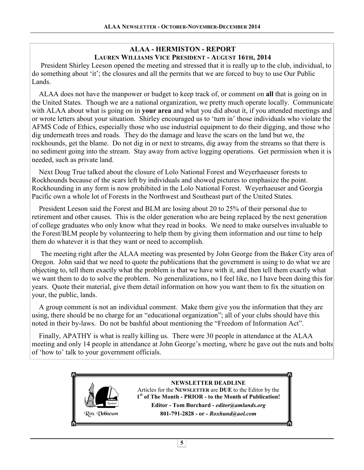#### **ALAA - HERMISTON - REPORT LAUREN WILLIAMS VICE PRESIDENT - AUGUST 16TH, 2014**

 President Shirley Leeson opened the meeting and stressed that it is really up to the club, individual, to do something about 'it'; the closures and all the permits that we are forced to buy to use Our Public Lands.

 ALAA does not have the manpower or budget to keep track of, or comment on **all** that is going on in the United States. Though we are a national organization, we pretty much operate locally. Communicate with ALAA about what is going on in **your area** and what you did about it, if you attended meetings and or wrote letters about your situation. Shirley encouraged us to 'turn in' those individuals who violate the AFMS Code of Ethics, especially those who use industrial equipment to do their digging, and those who dig underneath trees and roads. They do the damage and leave the scars on the land but we, the rockhounds, get the blame. Do not dig in or next to streams, dig away from the streams so that there is no sediment going into the stream. Stay away from active logging operations. Get permission when it is needed, such as private land.

 Next Doug True talked about the closure of Lolo National Forest and Weyerhaeuser forests to Rockhounds because of the scars left by individuals and showed pictures to emphasize the point. Rockhounding in any form is now prohibited in the Lolo National Forest. Weyerhaeuser and Georgia Pacific own a whole lot of Forests in the Northwest and Southeast part of the United States.

 President Leeson said the Forest and BLM are losing about 20 to 25% of their personal due to retirement and other causes. This is the older generation who are being replaced by the next generation of college graduates who only know what they read in books. We need to make ourselves invaluable to the Forest/BLM people by volunteering to help them by giving them information and our time to help them do whatever it is that they want or need to accomplish.

 The meeting right after the ALAA meeting was presented by John George from the Baker City area of Oregon. John said that we need to quote the publications that the government is using to do what we are objecting to, tell them exactly what the problem is that we have with it, and then tell them exactly what we want them to do to solve the problem. No generalizations, no I feel like, no I have been doing this for years. Quote their material, give them detail information on how you want them to fix the situation on your, the public, lands.

 A group comment is not an individual comment. Make them give you the information that they are using, there should be no charge for an "educational organization"; all of your clubs should have this noted in their by-laws. Do not be bashful about mentioning the "Freedom of Information Act".

 Finally, APATHY is what is really killing us. There were 30 people in attendance at the ALAA meeting and only 14 people in attendance at John George's meeting, where he gave out the nuts and bolts of 'how to' talk to your government officials.

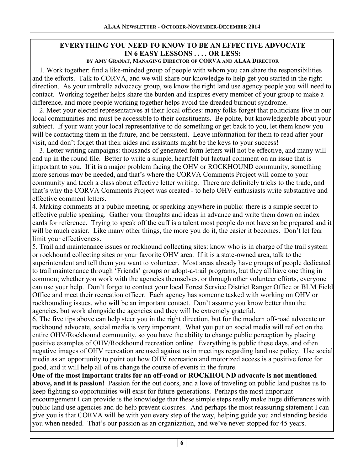# **EVERYTHING YOU NEED TO KNOW TO BE AN EFFECTIVE ADVOCATE IN 6 EASY LESSONS . . . . OR LESS:**

**BY AMY GRANAT, MANAGING DIRECTOR OF CORVA AND ALAA DIRECTOR**

1. Work together: find a like-minded group of people with whom you can share the responsibilities and the efforts. Talk to CORVA, and we will share our knowledge to help get you started in the right direction. As your umbrella advocacy group, we know the right land use agency people you will need to contact. Working together helps share the burden and inspires every member of your group to make a difference, and more people working together helps avoid the dreaded burnout syndrome.

2. Meet your elected representatives at their local offices: many folks forget that politicians live in our local communities and must be accessible to their constituents. Be polite, but knowledgeable about your subject. If your want your local representative to do something or get back to you, let them know you will be contacting them in the future, and be persistent. Leave information for them to read after your visit, and don't forget that their aides and assistants might be the keys to your success!

3. Letter writing campaigns: thousands of generated form letters will not be effective, and many will end up in the round file. Better to write a simple, heartfelt but factual comment on an issue that is important to you. If it is a major problem facing the OHV or ROCKHOUND community, something more serious may be needed, and that's where the CORVA Comments Project will come to your community and teach a class about effective letter writing. There are definitely tricks to the trade, and that's why the CORVA Comments Project was created - to help OHV enthusiasts write substantive and effective comment letters.

4. Making comments at a public meeting, or speaking anywhere in public: there is a simple secret to effective public speaking. Gather your thoughts and ideas in advance and write them down on index cards for reference. Trying to speak off the cuff is a talent most people do not have so be prepared and it will be much easier. Like many other things, the more you do it, the easier it becomes. Don't let fear limit your effectiveness.

5. Trail and maintenance issues or rockhound collecting sites: know who is in charge of the trail system or rockhound collecting sites or your favorite OHV area. If it is a state-owned area, talk to the superintendent and tell them you want to volunteer. Most areas already have groups of people dedicated to trail maintenance through 'Friends' groups or adopt-a-trail programs, but they all have one thing in common; whether you work with the agencies themselves, or through other volunteer efforts, everyone can use your help. Don't forget to contact your local Forest Service District Ranger Office or BLM Field Office and meet their recreation officer. Each agency has someone tasked with working on OHV or rockhounding issues, who will be an important contact. Don't assume you know better than the agencies, but work alongside the agencies and they will be extremely grateful.

6. The five tips above can help steer you in the right direction, but for the modern off-road advocate or rockhound advocate, social media is very important. What you put on social media will reflect on the entire OHV/Rockhound community, so you have the ability to change public perception by placing positive examples of OHV/Rockhound recreation online. Everything is public these days, and often negative images of OHV recreation are used against us in meetings regarding land use policy. Use social media as an opportunity to point out how OHV recreation and motorized access is a positive force for good, and it will help all of us change the course of events in the future.

**One of the most important traits for an off-road or ROCKHOUND advocate is not mentioned above, and it is passion!** Passion for the out doors, and a love of traveling on public land pushes us to keep fighting so opportunities will exist for future generations. Perhaps the most important encouragement I can provide is the knowledge that these simple steps really make huge differences with public land use agencies and do help prevent closures. And perhaps the most reassuring statement I can give you is that CORVA will be with you every step of the way, helping guide you and standing beside you when needed. That's our passion as an organization, and we've never stopped for 45 years.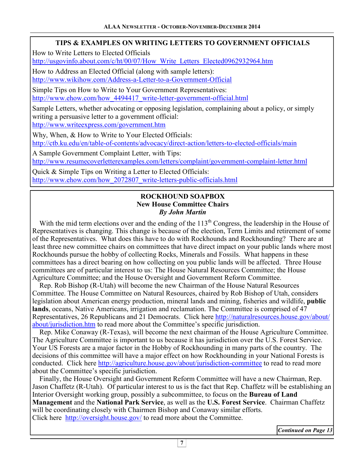# **TIPS & EXAMPLES ON WRITING LETTERS TO GOVERNMENT OFFICIALS**

How to Write Letters to Elected Officials

http://usgovinfo.about.com/c/ht/00/07/How\_Write\_Letters\_Elected0962932964.htm

How to Address an Elected Official (along with sample letters):

http://www.wikihow.com/Address-a-Letter-to-a-Government-Official

Simple Tips on How to Write to Your Government Representatives: http://www.ehow.com/how\_4494417\_write-letter-government-official.html

Sample Letters, whether advocating or opposing legislation, complaining about a policy, or simply writing a persuasive letter to a government official:

http://www.writeexpress.com/government.htm

Why, When, & How to Write to Your Elected Officials: http://ctb.ku.edu/en/table-of-contents/advocacy/direct-action/letters-to-elected-officials/main

A Sample Government Complaint Letter, with Tips: http://www.resumecoverletterexamples.com/letters/complaint/government-complaint-letter.html

Quick & Simple Tips on Writing a Letter to Elected Officials: http://www.ehow.com/how\_2072807\_write-letters-public-officials.html

## **ROCKHOUND SOAPBOX New House Committee Chairs**  *By John Martin*

With the mid term elections over and the ending of the  $113<sup>th</sup>$  Congress, the leadership in the House of Representatives is changing. This change is because of the election, Term Limits and retirement of some of the Representatives. What does this have to do with Rockhounds and Rockhounding? There are at least three new committee chairs on committees that have direct impact on your public lands where most Rockhounds pursue the hobby of collecting Rocks, Minerals and Fossils. What happens in these committees has a direct bearing on how collecting on you public lands will be affected. Three House committees are of particular interest to us: The House Natural Resources Committee; the House Agriculture Committee; and the House Oversight and Government Reform Committee.

 Rep. Rob Bishop (R-Utah) will become the new Chairman of the House Natural Resources Committee. The House Committee on Natural Resources, chaired by Rob Bishop of Utah, considers legislation about American energy production, mineral lands and mining, fisheries and wildlife, **public lands**, oceans, Native Americans, irrigation and reclamation. The Committee is comprised of 47 Representatives, 26 Republicans and 21 Democrats. Click here http://naturalresources.house.gov/about/ about/jurisdiction.htm to read more about the Committee's specific jurisdiction.

 Rep. Mike Conaway (R-Texas), will become the next chairman of the House Agriculture Committee. The Agriculture Committee is important to us because it has jurisdiction over the U.S. Forest Service. Your US Forests are a major factor in the Hobby of Rockhounding in many parts of the country. The decisions of this committee will have a major effect on how Rockhounding in your National Forests is conducted. Click here http://agriculture.house.gov/about/jurisdiction-committee to read to read more about the Committee's specific jurisdiction.

 Finally, the House Oversight and Government Reform Committee will have a new Chairman, Rep. Jason Chaffetz (R-Utah). Of particular interest to us is the fact that Rep. Chaffetz will be establishing an Interior Oversight working group, possibly a subcommittee, to focus on the **Bureau of Land Management** and the **National Park Service**, as well as the **U.S. Forest Service**. Chairman Chaffetz will be coordinating closely with Chairmen Bishop and Conaway similar efforts. Click here http://oversight.house.gov/ to read more about the Committee.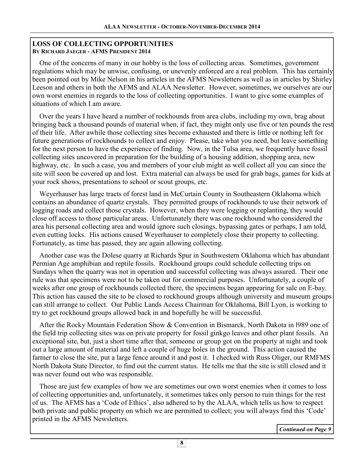## **LOSS OF COLLECTING OPPORTUNITIES BY RICHARD JAEGER - AFMS PRESIDENT 2014**

 One of the concerns of many in our hobby is the loss of collecting areas. Sometimes, government regulations which may be unwise, confusing, or unevenly enforced are a real problem. This has certainly been pointed out by Mike Nelson in his articles in the AFMS Newsletters as well as in articles by Shirley Leeson and others in both the AFMS and ALAA Newsletter. However, sometimes, we ourselves are our own worst enemies in regards to the loss of collecting opportunities. I want to give some examples of situations of which I am aware.

 Over the years I have heard a number of rockhounds from area clubs, including my own, brag about bringing back a thousand pounds of material when, if fact, they might only use five or ten pounds the rest of their life. After awhile those collecting sites become exhausted and there is little or nothing left for future generations of rockhounds to collect and enjoy. Please, take what you need, but leave something for the next person to have the experience of finding. Now, in the Tulsa area, we frequently have fossil collecting sites uncovered in preparation for the building of a housing addition, shopping area, new highway, etc. In such a case, you and members of your club might as well collect all you can since the site will soon be covered up and lost. Extra material can always be used for grab bags, games for kids at your rock shows, presentations to school or scout groups, etc.

 Weyerhauser has large tracts of forest land in McCurtain County in Southeastern Oklahoma which contains an abundance of quartz crystals. They permitted groups of rockhounds to use their network of logging roads and collect those crystals. However, when they were logging or replanting, they would close off access to those particular areas. Unfortunately there was one rockhound who considered the area his personal collecting area and would ignore such closings, bypassing gates or perhaps, I am told, even cutting locks. His actions caused Weyerhauser to completely close their property to collecting. Fortunately, as time has passed, they are again allowing collecting.

 Another case was the Dolese quarry at Richards Spur in Southwestern Oklahoma which has abundant Permian Age amphibian and reptile fossils. Rockhound groups could schedule collecting trips on Sundays when the quarry was not in operation and successful collecting was always assured. Their one rule was that specimens were not to be taken out for commercial purposes. Unfortunately, a couple of weeks after one group of rockhounds collected there, the specimens began appearing for sale on E-bay. This action has caused the site to be closed to rockhound groups although university and museum groups can still arrange to collect. Our Public Lands Access Chairman for Oklahoma, Bill Lyon, is working to try to get rockhound groups allowed back in and hopefully he will be successful.

 After the Rocky Mountain Federation Show & Convention in Bismarck, North Dakota in l989 one of the field trip collecting sites was on private property for fossil ginkgo leaves and other plant fossils. An exceptional site, but, just a short time after that, someone or group got on the property at night and took out a large amount of material and left a couple of huge holes in the ground. This action caused the farmer to close the site, put a large fence around it and post it. I checked with Russ Oliger, our RMFMS North Dakota State Director, to find out the current status. He tells me that the site is still closed and it was never found out who was responsible.

 Those are just few examples of how we are sometimes our own worst enemies when it comes to loss of collecting opportunities and, unfortunately, it sometimes takes only person to ruin things for the rest of us. The AFMS has a 'Code of Ethics', also adhered to by the ALAA, which tells us how to respect both private and public property on which we are permitted to collect; you will always find this 'Code' printed in the AFMS Newsletters.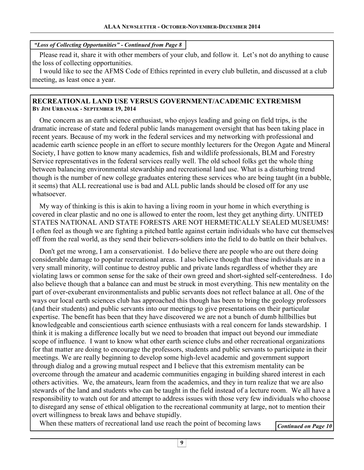#### *"Loss of Collecting Opportunities" - Continued from Page 8*

 Please read it, share it with other members of your club, and follow it. Let's not do anything to cause the loss of collecting opportunities.

 I would like to see the AFMS Code of Ethics reprinted in every club bulletin, and discussed at a club meeting, as least once a year.

#### **RECREATIONAL LAND USE VERSUS GOVERNMENT/ACADEMIC EXTREMISM BY JIM URBANIAK - SEPTEMBER 19, 2014**

 One concern as an earth science enthusiast, who enjoys leading and going on field trips, is the dramatic increase of state and federal public lands management oversight that has been taking place in recent years. Because of my work in the federal services and my networking with professional and academic earth science people in an effort to secure monthly lecturers for the Oregon Agate and Mineral Society, I have gotten to know many academics, fish and wildlife professionals, BLM and Forestry Service representatives in the federal services really well. The old school folks get the whole thing between balancing environmental stewardship and recreational land use. What is a disturbing trend though is the number of new college graduates entering these services who are being taught (in a bubble, it seems) that ALL recreational use is bad and ALL public lands should be closed off for any use whatsoever.

 My way of thinking is this is akin to having a living room in your home in which everything is covered in clear plastic and no one is allowed to enter the room, lest they get anything dirty. UNITED STATES NATIONAL AND STATE FORESTS ARE NOT HERMETICALLY SEALED MUSEUMS! I often feel as though we are fighting a pitched battle against certain individuals who have cut themselves off from the real world, as they send their believers-soldiers into the field to do battle on their behalves.

 Don't get me wrong, I am a conservationist. I do believe there are people who are out there doing considerable damage to popular recreational areas. I also believe though that these individuals are in a very small minority, will continue to destroy public and private lands regardless of whether they are violating laws or common sense for the sake of their own greed and short-sighted self-centeredness. I do also believe though that a balance can and must be struck in most everything. This new mentality on the part of over-exuberant environmentalists and public servants does not reflect balance at all. One of the ways our local earth sciences club has approached this though has been to bring the geology professors (and their students) and public servants into our meetings to give presentations on their particular expertise. The benefit has been that they have discovered we are not a bunch of dumb hillbillies but knowledgeable and conscientious earth science enthusiasts with a real concern for lands stewardship. I think it is making a difference locally but we need to broaden that impact out beyond our immediate scope of influence. I want to know what other earth science clubs and other recreational organizations for that matter are doing to encourage the professors, students and public servants to participate in their meetings. We are really beginning to develop some high-level academic and government support through dialog and a growing mutual respect and I believe that this extremism mentality can be overcome through the amateur and academic communities engaging in building shared interest in each others activities. We, the amateurs, learn from the academics, and they in turn realize that we are also stewards of the land and students who can be taught in the field instead of a lecture room. We all have a responsibility to watch out for and attempt to address issues with those very few individuals who choose to disregard any sense of ethical obligation to the recreational community at large, not to mention their overt willingness to break laws and behave stupidly.

When these matters of recreational land use reach the point of becoming laws *Continued on Page 10* 

```
9
```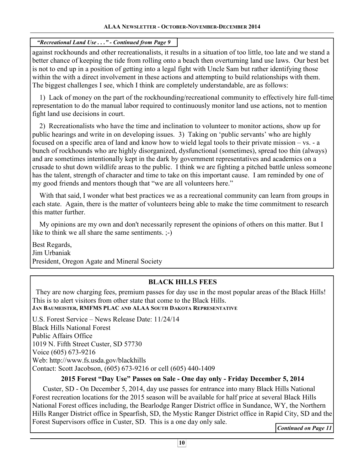# *"Recreational Land Use . . ." - Continued from Page 9*

against rockhounds and other recreationalists, it results in a situation of too little, too late and we stand a better chance of keeping the tide from rolling onto a beach then overturning land use laws. Our best bet is not to end up in a position of getting into a legal fight with Uncle Sam but rather identifying those within the with a direct involvement in these actions and attempting to build relationships with them. The biggest challenges I see, which I think are completely understandable, are as follows:

 1) Lack of money on the part of the rockhounding/recreational community to effectively hire full-time representation to do the manual labor required to continuously monitor land use actions, not to mention fight land use decisions in court.

 2) Recreationalists who have the time and inclination to volunteer to monitor actions, show up for public hearings and write in on developing issues. 3) Taking on 'public servants' who are highly focused on a specific area of land and know how to wield legal tools to their private mission – vs. - a bunch of rockhounds who are highly disorganized, dysfunctional (sometimes), spread too thin (always) and are sometimes intentionally kept in the dark by government representatives and academics on a crusade to shut down wildlife areas to the public. I think we are fighting a pitched battle unless someone has the talent, strength of character and time to take on this important cause. I am reminded by one of my good friends and mentors though that "we are all volunteers here."

With that said, I wonder what best practices we as a recreational community can learn from groups in each state. Again, there is the matter of volunteers being able to make the time commitment to research this matter further.

 My opinions are my own and don't necessarily represent the opinions of others on this matter. But I like to think we all share the same sentiments.  $\div$ )

Best Regards, Jim Urbaniak President, Oregon Agate and Mineral Society

# **BLACK HILLS FEES**

 They are now charging fees, premium passes for day use in the most popular areas of the Black Hills! This is to alert visitors from other state that come to the Black Hills. **JAN BAUMEISTER, RMFMS PLAC AND ALAA SOUTH DAKOTA REPRESENTATIVE**

U.S. Forest Service – News Release Date: 11/24/14 Black Hills National Forest Public Affairs Office 1019 N. Fifth Street Custer, SD 57730 Voice (605) 673-9216 Web: http://www.fs.usda.gov/blackhills Contact: Scott Jacobson, (605) 673-9216 or cell (605) 440-1409

# **2015 Forest "Day Use" Passes on Sale - One day only - Friday December 5, 2014**

 Custer, SD - On December 5, 2014, day use passes for entrance into many Black Hills National Forest recreation locations for the 2015 season will be available for half price at several Black Hills National Forest offices including, the Bearlodge Ranger District office in Sundance, WY, the Northern Hills Ranger District office in Spearfish, SD, the Mystic Ranger District office in Rapid City, SD and the Forest Supervisors office in Custer, SD. This is a one day only sale.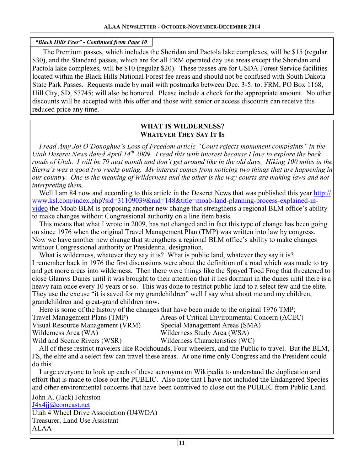## *"Black Hills Fees" - Continued from Page 10*

 The Premium passes, which includes the Sheridan and Pactola lake complexes, will be \$15 (regular \$30), and the Standard passes, which are for all FRM operated day use areas except the Sheridan and Pactola lake complexes, will be \$10 (regular \$20). These passes are for USDA Forest Service facilities located within the Black Hills National Forest fee areas and should not be confused with South Dakota State Park Passes. Requests made by mail with postmarks between Dec. 3-5: to: FRM, PO Box 1168, Hill City, SD, 57745; will also be honored. Please include a check for the appropriate amount. No other discounts will be accepted with this offer and those with senior or access discounts can receive this reduced price any time.

#### **WHAT IS WILDERNESS? WHATEVER THEY SAY IT IS**

 *I read Amy Joi O'Donoghue's Loss of Freedom article "Court rejects monument complaints" in the Utah Deseret News dated April 14th 2009. I read this with interest because I love to explore the back roads of Utah. I will be 79 next month and don't get around like in the old days. Hiking 100 miles in the Sierra's was a good two weeks outing. My interest comes from noticing two things that are happening in our country. One is the meaning of Wilderness and the other is the way courts are making laws and not interpreting them.* 

 Well I am 84 now and according to this article in the Deseret News that was published this year http:// www.ksl.com/index.php?sid=31109039&nid=148&title=moab-land-planning-process-explained-invideo the Moab BLM is proposing another new change that strengthens a regional BLM office's ability to make changes without Congressional authority on a line item basis.

 This means that what I wrote in 2009, has not changed and in fact this type of change has been going on since 1976 when the original Travel Management Plan (TMP) was written into law by congress. Now we have another new change that strengthens a regional BLM office's ability to make changes without Congressional authority or Presidential designation.

What is wilderness, whatever they say it is? What is public land, whatever they say it is? I remember back in 1976 the first discussions were about the definition of a road which was made to try and get more areas into wilderness. Then there were things like the Spayed Toed Frog that threatened to close Glamys Dunes until it was brought to their attention that it lies dormant in the dunes until there is a heavy rain once every 10 years or so. This was done to restrict public land to a select few and the elite. They use the excuse "it is saved for my grandchildren" well I say what about me and my children, grandchildren and great-grand children now.

Here is some of the history of the changes that have been made to the original 1976 TMP;

| Travel Management Plans (TMP)    | Areas of Critical Environmental Concern (ACEC) |
|----------------------------------|------------------------------------------------|
| Visual Resource Management (VRM) | Special Management Areas (SMA)                 |
| Wilderness Area (WA)             | Wilderness Study Area (WSA)                    |
| Wild and Scenic Rivers (WSR)     | Wilderness Characteristics (WC)                |

 All of these restrict travelers like Rockhounds, Four wheelers, and the Public to travel. But the BLM, FS, the elite and a select few can travel these areas. At one time only Congress and the President could do this.

 I urge everyone to look up each of these acronyms on Wikipedia to understand the duplication and effort that is made to close out the PUBLIC. Also note that I have not included the Endangered Species and other environmental concerns that have been contrived to close out the PUBLIC from Public Land.

John A. (Jack) Johnston J4x4jj@comcast.net Utah 4 Wheel Drive Association (U4WDA) Treasurer, Land Use Assistant ALAA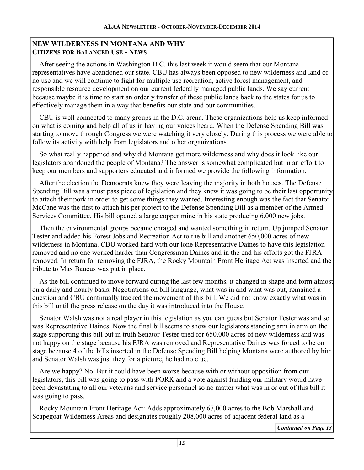## **NEW WILDERNESS IN MONTANA AND WHY CITIZENS FOR BALANCED USE - NEWS**

 After seeing the actions in Washington D.C. this last week it would seem that our Montana representatives have abandoned our state. CBU has always been opposed to new wilderness and land of no use and we will continue to fight for multiple use recreation, active forest management, and responsible resource development on our current federally managed public lands. We say current because maybe it is time to start an orderly transfer of these public lands back to the states for us to effectively manage them in a way that benefits our state and our communities.

 CBU is well connected to many groups in the D.C. arena. These organizations help us keep informed on what is coming and help all of us in having our voices heard. When the Defense Spending Bill was starting to move through Congress we were watching it very closely. During this process we were able to follow its activity with help from legislators and other organizations.

 So what really happened and why did Montana get more wilderness and why does it look like our legislators abandoned the people of Montana? The answer is somewhat complicated but in an effort to keep our members and supporters educated and informed we provide the following information.

 After the election the Democrats knew they were leaving the majority in both houses. The Defense Spending Bill was a must pass piece of legislation and they knew it was going to be their last opportunity to attach their pork in order to get some things they wanted. Interesting enough was the fact that Senator McCane was the first to attach his pet project to the Defense Spending Bill as a member of the Armed Services Committee. His bill opened a large copper mine in his state producing 6,000 new jobs.

 Then the environmental groups became enraged and wanted something in return. Up jumped Senator Tester and added his Forest Jobs and Recreation Act to the bill and another 650,000 acres of new wilderness in Montana. CBU worked hard with our lone Representative Daines to have this legislation removed and no one worked harder than Congressman Daines and in the end his efforts got the FJRA removed. In return for removing the FJRA, the Rocky Mountain Front Heritage Act was inserted and the tribute to Max Baucus was put in place.

 As the bill continued to move forward during the last few months, it changed in shape and form almost on a daily and hourly basis. Negotiations on bill language, what was in and what was out, remained a question and CBU continually tracked the movement of this bill. We did not know exactly what was in this bill until the press release on the day it was introduced into the House.

 Senator Walsh was not a real player in this legislation as you can guess but Senator Tester was and so was Representative Daines. Now the final bill seems to show our legislators standing arm in arm on the stage supporting this bill but in truth Senator Tester tried for 650,000 acres of new wilderness and was not happy on the stage because his FJRA was removed and Representative Daines was forced to be on stage because 4 of the bills inserted in the Defense Spending Bill helping Montana were authored by him and Senator Walsh was just they for a picture, he had no clue.

 Are we happy? No. But it could have been worse because with or without opposition from our legislators, this bill was going to pass with PORK and a vote against funding our military would have been devastating to all our veterans and service personnel so no matter what was in or out of this bill it was going to pass.

 Rocky Mountain Front Heritage Act: Adds approximately 67,000 acres to the Bob Marshall and Scapegoat Wilderness Areas and designates roughly 208,000 acres of adjacent federal land as a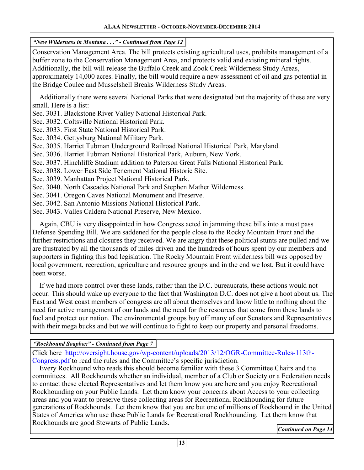*"New Wilderness in Montana . . ." - Continued from Page 12* 

Conservation Management Area. The bill protects existing agricultural uses, prohibits management of a buffer zone to the Conservation Management Area, and protects valid and existing mineral rights. Additionally, the bill will release the Buffalo Creek and Zook Creek Wilderness Study Areas, approximately 14,000 acres. Finally, the bill would require a new assessment of oil and gas potential in the Bridge Coulee and Musselshell Breaks Wilderness Study Areas.

 Additionally there were several National Parks that were designated but the majority of these are very small. Here is a list:

Sec. 3031. Blackstone River Valley National Historical Park.

Sec. 3032. Coltsville National Historical Park.

Sec. 3033. First State National Historical Park.

Sec. 3034. Gettysburg National Military Park.

Sec. 3035. Harriet Tubman Underground Railroad National Historical Park, Maryland.

Sec. 3036. Harriet Tubman National Historical Park, Auburn, New York.

Sec. 3037. Hinchliffe Stadium addition to Paterson Great Falls National Historical Park.

Sec. 3038. Lower East Side Tenement National Historic Site.

Sec. 3039. Manhattan Project National Historical Park.

Sec. 3040. North Cascades National Park and Stephen Mather Wilderness.

Sec. 3041. Oregon Caves National Monument and Preserve.

Sec. 3042. San Antonio Missions National Historical Park.

Sec. 3043. Valles Caldera National Preserve, New Mexico.

 Again, CBU is very disappointed in how Congress acted in jamming these bills into a must pass Defense Spending Bill. We are saddened for the people close to the Rocky Mountain Front and the further restrictions and closures they received. We are angry that these political stunts are pulled and we are frustrated by all the thousands of miles driven and the hundreds of hours spent by our members and supporters in fighting this bad legislation. The Rocky Mountain Front wilderness bill was opposed by local government, recreation, agriculture and resource groups and in the end we lost. But it could have been worse.

 If we had more control over these lands, rather than the D.C. bureaucrats, these actions would not occur. This should wake up everyone to the fact that Washington D.C. does not give a hoot about us. The East and West coast members of congress are all about themselves and know little to nothing about the need for active management of our lands and the need for the resources that come from these lands to fuel and protect our nation. The environmental groups buy off many of our Senators and Representatives with their mega bucks and but we will continue to fight to keep our property and personal freedoms.

*"Rockhound Soapbox" - Continued from Page 7* 

Click here http://oversight.house.gov/wp-content/uploads/2013/12/OGR-Committee-Rules-113th-Congress.pdf to read the rules and the Committee's specific jurisdiction.

 Every Rockhound who reads this should become familiar with these 3 Committee Chairs and the committees. All Rockhounds whether an individual, member of a Club or Society or a Federation needs to contact these elected Representatives and let them know you are here and you enjoy Recreational Rockhounding on your Public Lands. Let them know your concerns about Access to your collecting areas and you want to preserve these collecting areas for Recreational Rockhounding for future generations of Rockhounds. Let them know that you are but one of millions of Rockhound in the United States of America who use these Public Lands for Recreational Rockhounding. Let them know that Rockhounds are good Stewarts of Public Lands.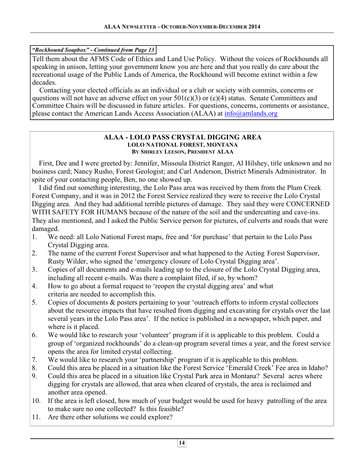## *"Rockhound Soapbox" - Continued from Page 13*

Tell them about the AFMS Code of Ethics and Land Use Policy. Without the voices of Rockhounds all speaking in unison, letting your government know you are here and that you really do care about the recreational usage of the Public Lands of America, the Rockhound will become extinct within a few decades.

 Contacting your elected officials as an individual or a club or society with commits, concerns or questions will not have an adverse effect on your  $501(c)(3)$  or  $(c)(4)$  status. Senate Committees and Committee Chairs will be discussed in future articles. For questions, concerns, comments or assistance, please contact the American Lands Access Association (ALAA) at info@amlands.org

#### **ALAA - LOLO PASS CRYSTAL DIGGING AREA LOLO NATIONAL FOREST, MONTANA BY SHIRLEY LEESON, PRESIDENT ALAA**

 First, Dee and I were greeted by: Jennifer, Missoula District Ranger, Al Hilshey, title unknown and no business card; Nancy Rusho, Forest Geologist; and Carl Anderson, District Minerals Administrator. In spite of your contacting people, Ben, no one showed up.

 I did find out something interesting, the Lolo Pass area was received by them from the Plum Creek Forest Company, and it was in 2012 the Forest Service realized they were to receive the Lolo Crystal Digging area. And they had additional terrible pictures of damage. They said they were CONCERNED WITH SAFETY FOR HUMANS because of the nature of the soil and the undercutting and cave-ins. They also mentioned, and I asked the Public Service person for pictures, of culverts and roads that were damaged.

- 1. We need: all Lolo National Forest maps, free and 'for purchase' that pertain to the Lolo Pass Crystal Digging area.
- 2. The name of the current Forest Supervisor and what happened to the Acting Forest Supervisor, Rusty Wilder, who signed the 'emergency closure of Lolo Crystal Digging area'.
- 3. Copies of all documents and e-mails leading up to the closure of the Lolo Crystal Digging area, including all recent e-mails. Was there a complaint filed, if so, by whom?
- 4. How to go about a formal request to 'reopen the crystal digging area' and what criteria are needed to accomplish this.
- 5. Copies of documents & posters pertaining to your 'outreach efforts to inform crystal collectors about the resource impacts that have resulted from digging and excavating for crystals over the last several years in the Lolo Pass area'. If the notice is published in a newspaper, which paper, and where is it placed.
- 6. We would like to research your 'volunteer' program if it is applicable to this problem. Could a group of 'organized rockhounds' do a clean-up program several times a year, and the forest service opens the area for limited crystal collecting.
- 7. We would like to research your 'partnership' program if it is applicable to this problem.
- 8. Could this area be placed in a situation like the Forest Service 'Emerald Creek' Fee area in Idaho?
- 9. Could this area be placed in a situation like Crystal Park area in Montana? Several acres where digging for crystals are allowed, that area when cleared of crystals, the area is reclaimed and another area opened.
- 10. If the area is left closed, how much of your budget would be used for heavy patrolling of the area to make sure no one collected? Is this feasible?
- 11. Are there other solutions we could explore?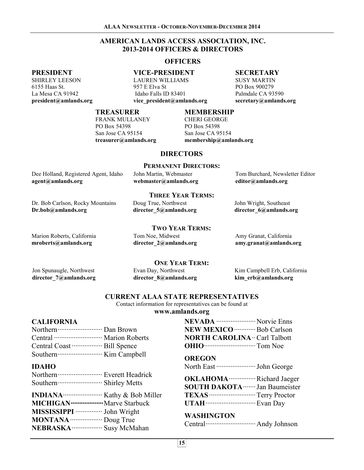## **AMERICAN LANDS ACCESS ASSOCIATION, INC. 2013-2014 OFFICERS & DIRECTORS**

#### **OFFICERS**

#### **VICE-PRESIDENT**

LAUREN WILLIAMS 957 E Elva St Idaho Falls ID 83401 **vice\_president@amlands.org** 

#### **SECRETARY**

SUSY MARTIN PO Box 900279 Palmdale CA 93590 **secretary@amlands.org** 

#### **TREASURER**

FRANK MULLANEY PO Box 54398 San Jose CA 95154 **treasurer@amlands.org** 

#### **MEMBERSHIP**

CHERI GEORGE PO Box 54398 San Jose CA 95154 **membership@amlands.org** 

#### **DIRECTORS**

#### **PERMANENT DIRECTORS:**

| Dee Holland, Registered Agent, Idaho | John Martin, Webmaster | Tom Burchard, Newsletter Editor |  |
|--------------------------------------|------------------------|---------------------------------|--|
| agent@amlands.org                    | webmaster@amlands.org  | editor@amlands.org              |  |

**THREE YEAR TERMS:**  Doug True, Northwest

**TWO YEAR TERMS:** 

John Wright, Southeast **director\_6@amlands.org** 

# Marion Roberts, California

Tom Noe, Midwest **director\_2@amlands.org** 

**director\_5@amlands.org** 

Amy Granat, California **amy.granat@amlands.org** 

Jon Spunaugle, Northwest **director\_7@amlands.org** 

**mroberts@amlands.org** 

**Dr.bob@amlands.org** 

Dr. Bob Carlson, Rocky Mountains

Evan Day, Northwest **director\_8@amlands.org ONE YEAR TERM:** 

Kim Campbell Erb, California **kim\_erb@amlands.org** 

## **CURRENT ALAA STATE REPRESENTATIVES**

Contact information for representatives can be found at

**www.amlands.org**

## **CALIFORNIA**

**PRESIDENT**  SHIRLEY LEESON 6155 Haas St. La Mesa CA 91942 **president@amlands.org** 

| Central  Marion Roberts |  |
|-------------------------|--|
|                         |  |
|                         |  |

#### **IDAHO**

| MICHIGAN ······················· Marve Starbuck |  |
|-------------------------------------------------|--|
| MISSISSIPPI ················ John Wright        |  |
| MONTANA  Doug True                              |  |
| NEBRASKA ·················· Susy McMahan        |  |

| <b>NEVADA</b> Norvie Enns                    |  |
|----------------------------------------------|--|
| <b>NEW MEXICO</b> •••••••••••••• Bob Carlson |  |
| <b>NORTH CAROLINA</b> ·· Carl Talbott        |  |
| <b>OHIO CONSERVING</b> Tom Noe               |  |

#### **OREGON**

North East ······················ John George

**OKLAHOMA**··············· Richard Jaeger **SOUTH DAKOTA**······· Jan Baumeister **TEXAS**·························· Terry Proctor **UTAH**···························· Evan Day

#### **WASHINGTON**

Central···························· Andy Johnson